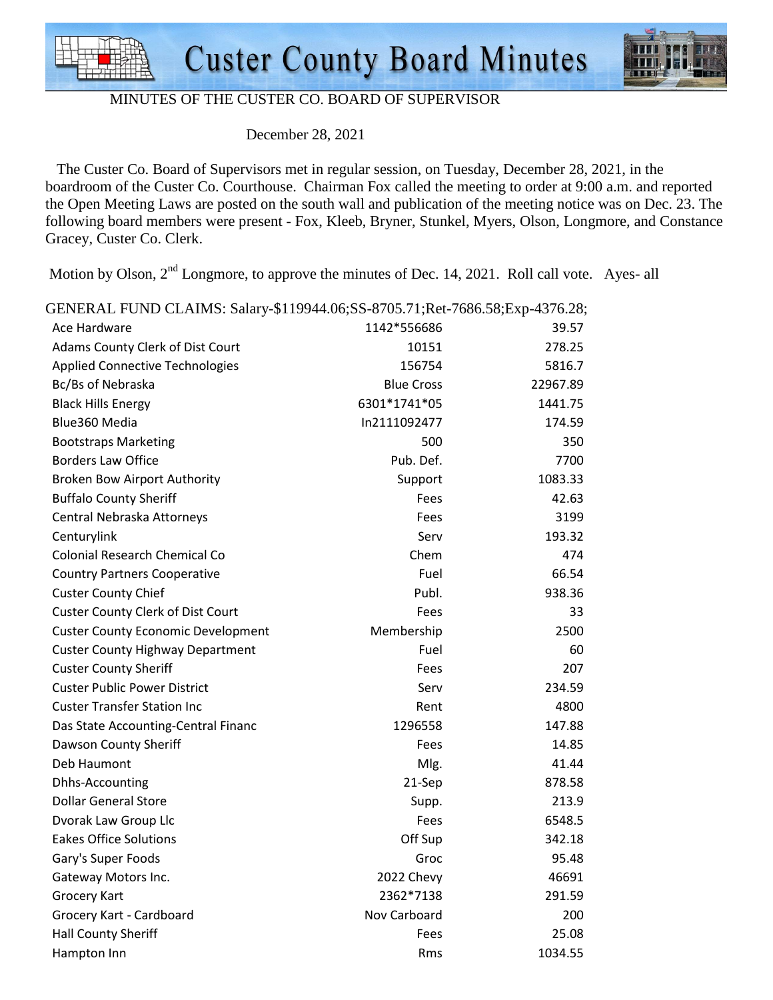



#### MINUTES OF THE CUSTER CO. BOARD OF SUPERVISOR

December 28, 2021

 The Custer Co. Board of Supervisors met in regular session, on Tuesday, December 28, 2021, in the boardroom of the Custer Co. Courthouse. Chairman Fox called the meeting to order at 9:00 a.m. and reported the Open Meeting Laws are posted on the south wall and publication of the meeting notice was on Dec. 23. The following board members were present - Fox, Kleeb, Bryner, Stunkel, Myers, Olson, Longmore, and Constance Gracey, Custer Co. Clerk.

Motion by Olson,  $2<sup>nd</sup>$  Longmore, to approve the minutes of Dec. 14, 2021. Roll call vote. Ayes- all

| GENERAL FUND CLAIMS: Salary-\$119944.06;SS-8705.71;Ret-7686.58;Exp-4376.28; |                   |          |
|-----------------------------------------------------------------------------|-------------------|----------|
| Ace Hardware                                                                | 1142*556686       | 39.57    |
| Adams County Clerk of Dist Court                                            | 10151             | 278.25   |
| <b>Applied Connective Technologies</b>                                      | 156754            | 5816.7   |
| Bc/Bs of Nebraska                                                           | <b>Blue Cross</b> | 22967.89 |
| <b>Black Hills Energy</b>                                                   | 6301*1741*05      | 1441.75  |
| Blue360 Media                                                               | In2111092477      | 174.59   |
| <b>Bootstraps Marketing</b>                                                 | 500               | 350      |
| <b>Borders Law Office</b>                                                   | Pub. Def.         | 7700     |
| <b>Broken Bow Airport Authority</b>                                         | Support           | 1083.33  |
| <b>Buffalo County Sheriff</b>                                               | Fees              | 42.63    |
| Central Nebraska Attorneys                                                  | Fees              | 3199     |
| Centurylink                                                                 | Serv              | 193.32   |
| <b>Colonial Research Chemical Co</b>                                        | Chem              | 474      |
| <b>Country Partners Cooperative</b>                                         | Fuel              | 66.54    |
| <b>Custer County Chief</b>                                                  | Publ.             | 938.36   |
| <b>Custer County Clerk of Dist Court</b>                                    | Fees              | 33       |
| <b>Custer County Economic Development</b>                                   | Membership        | 2500     |
| <b>Custer County Highway Department</b>                                     | Fuel              | 60       |
| <b>Custer County Sheriff</b>                                                | Fees              | 207      |
| <b>Custer Public Power District</b>                                         | Serv              | 234.59   |
| <b>Custer Transfer Station Inc</b>                                          | Rent              | 4800     |
| Das State Accounting-Central Financ                                         | 1296558           | 147.88   |
| Dawson County Sheriff                                                       | Fees              | 14.85    |
| Deb Haumont                                                                 | Mlg.              | 41.44    |
| Dhhs-Accounting                                                             | 21-Sep            | 878.58   |
| <b>Dollar General Store</b>                                                 | Supp.             | 213.9    |
| Dvorak Law Group Llc                                                        | Fees              | 6548.5   |
| <b>Eakes Office Solutions</b>                                               | Off Sup           | 342.18   |
| Gary's Super Foods                                                          | Groc              | 95.48    |
| Gateway Motors Inc.                                                         | 2022 Chevy        | 46691    |
| <b>Grocery Kart</b>                                                         | 2362*7138         | 291.59   |
| Grocery Kart - Cardboard                                                    | Nov Carboard      | 200      |
| <b>Hall County Sheriff</b>                                                  | Fees              | 25.08    |
| Hampton Inn                                                                 | Rms               | 1034.55  |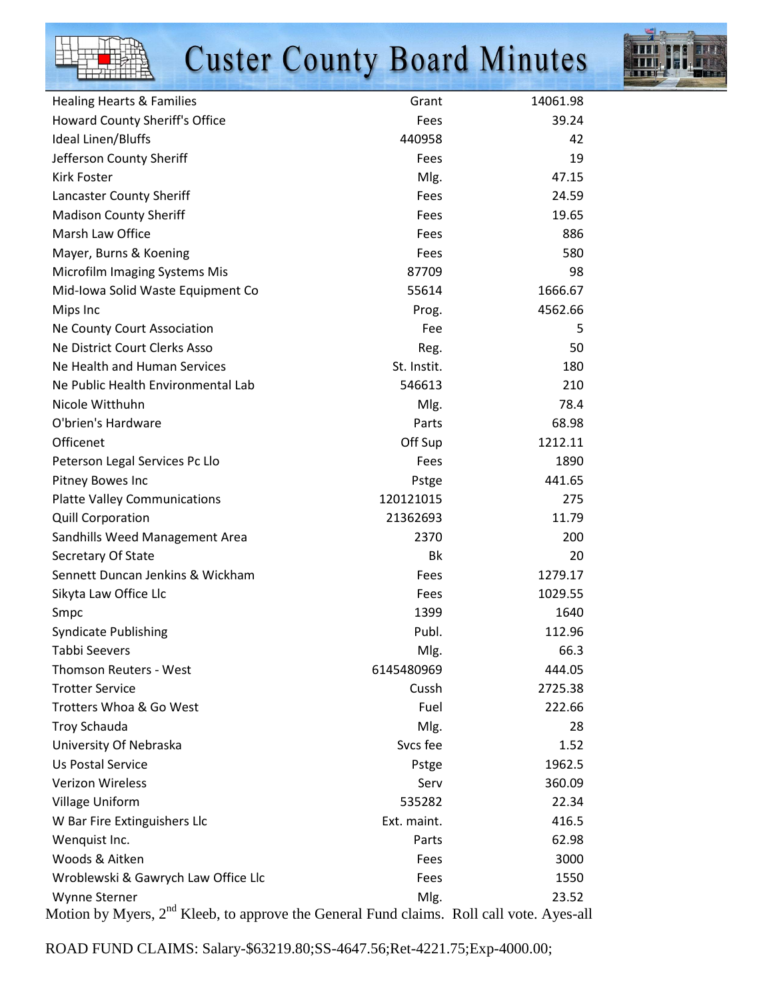# **Custer County Board Minutes**



| <b>Healing Hearts &amp; Families</b> | Grant       | 14061.98 |
|--------------------------------------|-------------|----------|
| Howard County Sheriff's Office       | Fees        | 39.24    |
| Ideal Linen/Bluffs                   | 440958      | 42       |
| Jefferson County Sheriff             | Fees        | 19       |
| <b>Kirk Foster</b>                   | Mlg.        | 47.15    |
| Lancaster County Sheriff             | Fees        | 24.59    |
| <b>Madison County Sheriff</b>        | Fees        | 19.65    |
| Marsh Law Office                     | Fees        | 886      |
| Mayer, Burns & Koening               | Fees        | 580      |
| Microfilm Imaging Systems Mis        | 87709       | 98       |
| Mid-Iowa Solid Waste Equipment Co    | 55614       | 1666.67  |
| Mips Inc                             | Prog.       | 4562.66  |
| Ne County Court Association          | Fee         | 5        |
| Ne District Court Clerks Asso        | Reg.        | 50       |
| Ne Health and Human Services         | St. Instit. | 180      |
| Ne Public Health Environmental Lab   | 546613      | 210      |
| Nicole Witthuhn                      | Mlg.        | 78.4     |
| O'brien's Hardware                   | Parts       | 68.98    |
| Officenet                            | Off Sup     | 1212.11  |
| Peterson Legal Services Pc Llo       | Fees        | 1890     |
| Pitney Bowes Inc                     | Pstge       | 441.65   |
| <b>Platte Valley Communications</b>  | 120121015   | 275      |
| <b>Quill Corporation</b>             | 21362693    | 11.79    |
| Sandhills Weed Management Area       | 2370        | 200      |
| Secretary Of State                   | Bk          | 20       |
| Sennett Duncan Jenkins & Wickham     | Fees        | 1279.17  |
| Sikyta Law Office Llc                | Fees        | 1029.55  |
| Smpc                                 | 1399        | 1640     |
| <b>Syndicate Publishing</b>          | Publ.       | 112.96   |
| Tabbi Seevers                        | Mlg         | 66.3     |
| <b>Thomson Reuters - West</b>        | 6145480969  | 444.05   |
| <b>Trotter Service</b>               | Cussh       | 2725.38  |
| Trotters Whoa & Go West              | Fuel        | 222.66   |
| <b>Troy Schauda</b>                  | Mlg.        | 28       |
| University Of Nebraska               | Svcs fee    | 1.52     |
| Us Postal Service                    | Pstge       | 1962.5   |
| <b>Verizon Wireless</b>              | Serv        | 360.09   |
| <b>Village Uniform</b>               | 535282      | 22.34    |
| W Bar Fire Extinguishers Llc         | Ext. maint. | 416.5    |
| Wenquist Inc.                        | Parts       | 62.98    |
| Woods & Aitken                       | Fees        | 3000     |
| Wroblewski & Gawrych Law Office Llc  | Fees        | 1550     |
| Wynne Sterner                        | Mlg.        | 23.52    |

Motion by Myers, 2<sup>nd</sup> Kleeb, to approve the General Fund claims. Roll call vote. Ayes-all

ROAD FUND CLAIMS: Salary-\$63219.80;SS-4647.56;Ret-4221.75;Exp-4000.00;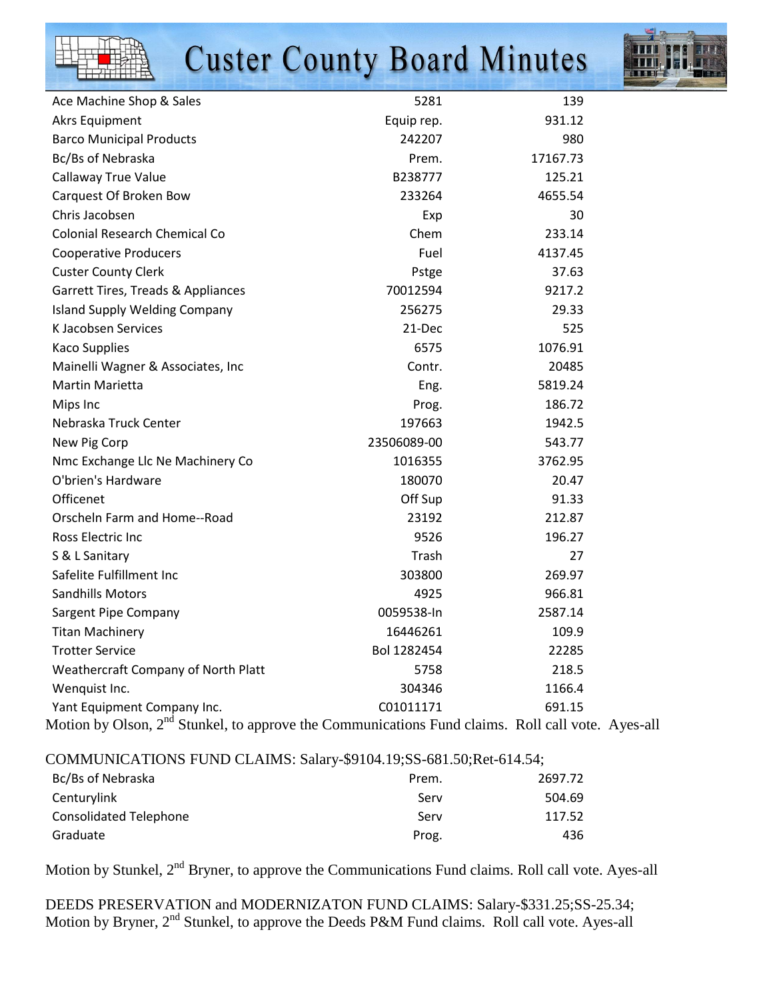

| Ace Machine Shop & Sales                                                                                                                                                                                                                                                                                                                                       | 5281        | 139                                |
|----------------------------------------------------------------------------------------------------------------------------------------------------------------------------------------------------------------------------------------------------------------------------------------------------------------------------------------------------------------|-------------|------------------------------------|
| <b>Akrs Equipment</b>                                                                                                                                                                                                                                                                                                                                          | Equip rep.  | 931.12                             |
| <b>Barco Municipal Products</b>                                                                                                                                                                                                                                                                                                                                | 242207      | 980                                |
| Bc/Bs of Nebraska                                                                                                                                                                                                                                                                                                                                              | Prem.       | 17167.73                           |
| Callaway True Value                                                                                                                                                                                                                                                                                                                                            | B238777     | 125.21                             |
| Carquest Of Broken Bow                                                                                                                                                                                                                                                                                                                                         | 233264      | 4655.54                            |
| Chris Jacobsen                                                                                                                                                                                                                                                                                                                                                 | Exp         | 30                                 |
| <b>Colonial Research Chemical Co</b>                                                                                                                                                                                                                                                                                                                           | Chem        | 233.14                             |
| <b>Cooperative Producers</b>                                                                                                                                                                                                                                                                                                                                   | Fuel        | 4137.45                            |
| <b>Custer County Clerk</b>                                                                                                                                                                                                                                                                                                                                     | Pstge       | 37.63                              |
| Garrett Tires, Treads & Appliances                                                                                                                                                                                                                                                                                                                             | 70012594    | 9217.2                             |
| <b>Island Supply Welding Company</b>                                                                                                                                                                                                                                                                                                                           | 256275      | 29.33                              |
| K Jacobsen Services                                                                                                                                                                                                                                                                                                                                            | 21-Dec      | 525                                |
| <b>Kaco Supplies</b>                                                                                                                                                                                                                                                                                                                                           | 6575        | 1076.91                            |
| Mainelli Wagner & Associates, Inc.                                                                                                                                                                                                                                                                                                                             | Contr.      | 20485                              |
| <b>Martin Marietta</b>                                                                                                                                                                                                                                                                                                                                         | Eng.        | 5819.24                            |
| Mips Inc                                                                                                                                                                                                                                                                                                                                                       | Prog.       | 186.72                             |
| Nebraska Truck Center                                                                                                                                                                                                                                                                                                                                          | 197663      | 1942.5                             |
| New Pig Corp                                                                                                                                                                                                                                                                                                                                                   | 23506089-00 | 543.77                             |
| Nmc Exchange Llc Ne Machinery Co                                                                                                                                                                                                                                                                                                                               | 1016355     | 3762.95                            |
| O'brien's Hardware                                                                                                                                                                                                                                                                                                                                             | 180070      | 20.47                              |
| Officenet                                                                                                                                                                                                                                                                                                                                                      | Off Sup     | 91.33                              |
| Orscheln Farm and Home--Road                                                                                                                                                                                                                                                                                                                                   | 23192       | 212.87                             |
| Ross Electric Inc                                                                                                                                                                                                                                                                                                                                              | 9526        | 196.27                             |
| S & L Sanitary                                                                                                                                                                                                                                                                                                                                                 | Trash       | 27                                 |
| Safelite Fulfillment Inc                                                                                                                                                                                                                                                                                                                                       | 303800      | 269.97                             |
| <b>Sandhills Motors</b>                                                                                                                                                                                                                                                                                                                                        | 4925        | 966.81                             |
| Sargent Pipe Company                                                                                                                                                                                                                                                                                                                                           | 0059538-In  | 2587.14                            |
| <b>Titan Machinery</b>                                                                                                                                                                                                                                                                                                                                         | 16446261    | 109.9                              |
| <b>Trotter Service</b>                                                                                                                                                                                                                                                                                                                                         | Bol 1282454 | 22285                              |
| Weathercraft Company of North Platt                                                                                                                                                                                                                                                                                                                            | 5758        | 218.5                              |
| Wenquist Inc.                                                                                                                                                                                                                                                                                                                                                  | 304346      | 1166.4                             |
| Yant Equipment Company Inc.<br>$\mathbf{r}$ $\cdot$ $\mathbf{r}$ $\mathbf{r}$ $\mathbf{r}$ $\mathbf{r}$ $\mathbf{r}$ $\mathbf{r}$ $\mathbf{r}$ $\mathbf{r}$ $\mathbf{r}$ $\mathbf{r}$ $\mathbf{r}$ $\mathbf{r}$ $\mathbf{r}$ $\mathbf{r}$ $\mathbf{r}$ $\mathbf{r}$ $\mathbf{r}$ $\mathbf{r}$ $\mathbf{r}$ $\mathbf{r}$ $\mathbf{r}$ $\mathbf{r}$ $\mathbf{r}$ | C01011171   | 691.15<br>$\cdots$<br>$73.11$ $11$ |

Motion by Olson, 2<sup>nd</sup> Stunkel, to approve the Communications Fund claims. Roll call vote. Ayes-all

COMMUNICATIONS FUND CLAIMS: Salary-\$9104.19;SS-681.50;Ret-614.54;

| Prem. | 2697.72 |
|-------|---------|
| Serv  | 504.69  |
| Serv  | 117.52  |
| Prog. | 436     |
|       |         |

Motion by Stunkel, 2<sup>nd</sup> Bryner, to approve the Communications Fund claims. Roll call vote. Ayes-all

DEEDS PRESERVATION and MODERNIZATON FUND CLAIMS: Salary-\$331.25;SS-25.34; Motion by Bryner, 2<sup>nd</sup> Stunkel, to approve the Deeds P&M Fund claims. Roll call vote. Ayes-all